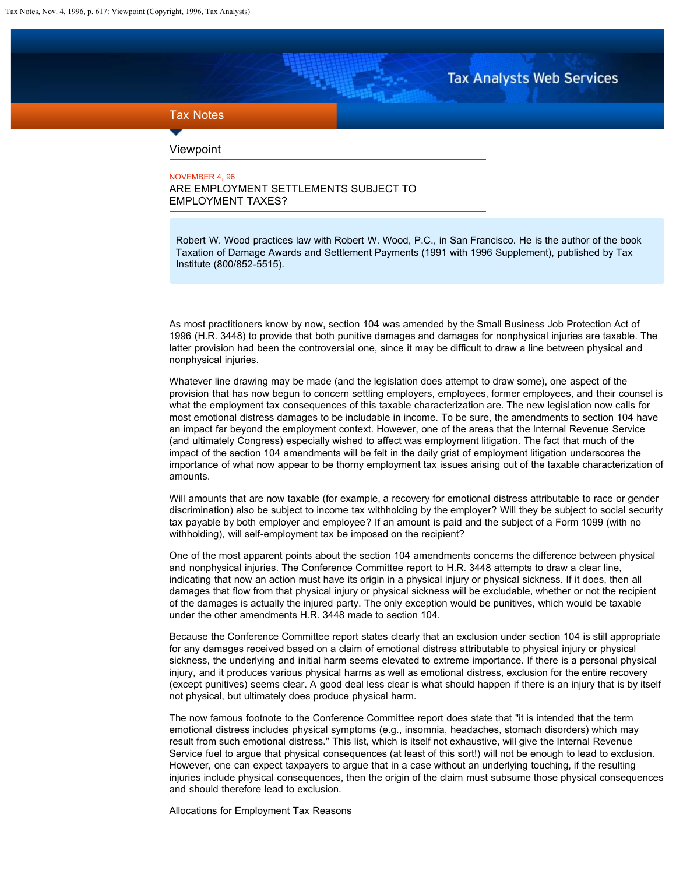**Tax Analysts Web Services** 

## <span id="page-0-0"></span>Tax Notes

## Viewpoint

NOVEMBER 4, 96 ARE EMPLOYMENT SETTLEMENTS SUBJECT TO EMPLOYMENT TAXES?

Robert W. Wood practices law with Robert W. Wood, P.C., in San Francisco. He is the author of the book Taxation of Damage Awards and Settlement Payments (1991 with 1996 Supplement), published by Tax Institute (800/852-5515).

As most practitioners know by now, section 104 was amended by the Small Business Job Protection Act of 1996 (H.R. 3448) to provide that both punitive damages and damages for nonphysical injuries are taxable. The latter provision had been the controversial one, since it may be difficult to draw a line between physical and nonphysical injuries.

Whatever line drawing may be made (and the legislation does attempt to draw some), one aspect of the provision that has now begun to concern settling employers, employees, former employees, and their counsel is what the employment tax consequences of this taxable characterization are. The new legislation now calls for most emotional distress damages to be includable in income. To be sure, the amendments to section 104 have an impact far beyond the employment context. However, one of the areas that the Internal Revenue Service (and ultimately Congress) especially wished to affect was employment litigation. The fact that much of the impact of the section 104 amendments will be felt in the daily grist of employment litigation underscores the importance of what now appear to be thorny employment tax issues arising out of the taxable characterization of amounts.

Will amounts that are now taxable (for example, a recovery for emotional distress attributable to race or gender discrimination) also be subject to income tax withholding by the employer? Will they be subject to social security tax payable by both employer and employee? If an amount is paid and the subject of a Form 1099 (with no withholding), will self-employment tax be imposed on the recipient?

One of the most apparent points about the section 104 amendments concerns the difference between physical and nonphysical injuries. The Conference Committee report to H.R. 3448 attempts to draw a clear line, indicating that now an action must have its origin in a physical injury or physical sickness. If it does, then all damages that flow from that physical injury or physical sickness will be excludable, whether or not the recipient of the damages is actually the injured party. The only exception would be punitives, which would be taxable under the other amendments H.R. 3448 made to section 104.

Because the Conference Committee report states clearly that an exclusion under section 104 is still appropriate for any damages received based on a claim of emotional distress attributable to physical injury or physical sickness, the underlying and initial harm seems elevated to extreme importance. If there is a personal physical injury, and it produces various physical harms as well as emotional distress, exclusion for the entire recovery (except punitives) seems clear. A good deal less clear is what should happen if there is an injury that is by itself not physical, but ultimately does produce physical harm.

The now famous footnote to the Conference Committee report does state that "it is intended that the term emotional distress includes physical symptoms (e.g., insomnia, headaches, stomach disorders) which may result from such emotional distress." This list, which is itself not exhaustive, will give the Internal Revenue Service fuel to argue that physical consequences (at least of this sort!) will not be enough to lead to exclusion. However, one can expect taxpayers to argue that in a case without an underlying touching, if the resulting injuries include physical consequences, then the origin of the claim must subsume those physical consequences and should therefore lead to exclusion.

Allocations for Employment Tax Reasons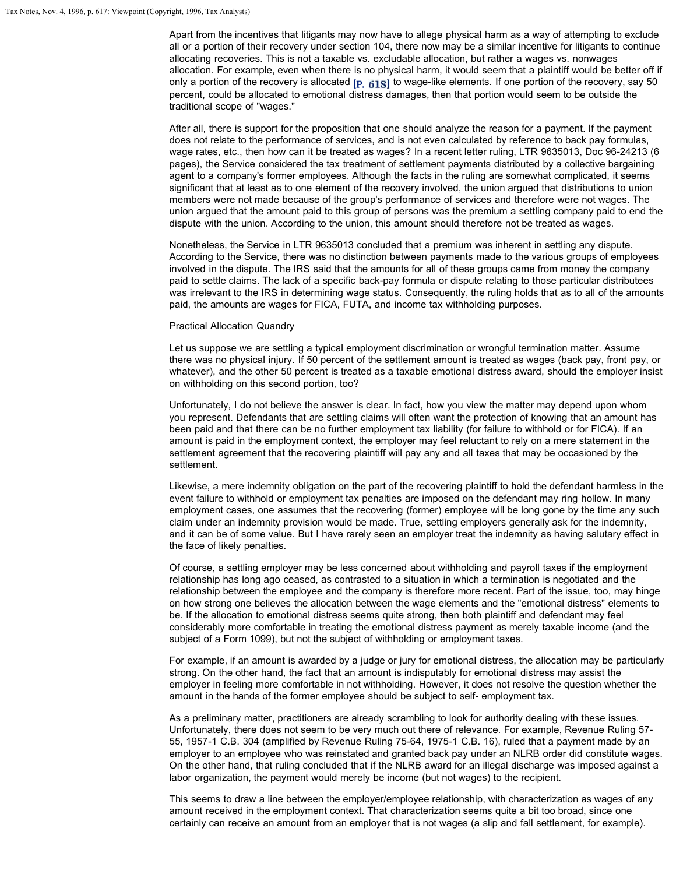Apart from the incentives that litigants may now have to allege physical harm as a way of attempting to exclude all or a portion of their recovery under section 104, there now may be a similar incentive for litigants to continue allocating recoveries. This is not a taxable vs. excludable allocation, but rather a wages vs. nonwages allocation. For example, even when there is no physical harm, it would seem that a plaintiff would be better off if only a portion of the recovery is allocated  $[p, 618]$  to wage-like elements. If one portion of the recovery, say 50 percent, could be allocated to emotional distress damages, then that portion would seem to be outside the traditional scope of "wages."

After all, there is support for the proposition that one should analyze the reason for a payment. If the payment does not relate to the performance of services, and is not even calculated by reference to back pay formulas, wage rates, etc., then how can it be treated as wages? In a recent letter ruling, LTR 9635013, Doc 96-24213 (6 pages), the Service considered the tax treatment of settlement payments distributed by a collective bargaining agent to a company's former employees. Although the facts in the ruling are somewhat complicated, it seems significant that at least as to one element of the recovery involved, the union argued that distributions to union members were not made because of the group's performance of services and therefore were not wages. The union argued that the amount paid to this group of persons was the premium a settling company paid to end the dispute with the union. According to the union, this amount should therefore not be treated as wages.

Nonetheless, the Service in LTR 9635013 concluded that a premium was inherent in settling any dispute. According to the Service, there was no distinction between payments made to the various groups of employees involved in the dispute. The IRS said that the amounts for all of these groups came from money the company paid to settle claims. The lack of a specific back-pay formula or dispute relating to those particular distributees was irrelevant to the IRS in determining wage status. Consequently, the ruling holds that as to all of the amounts paid, the amounts are wages for FICA, FUTA, and income tax withholding purposes.

## Practical Allocation Quandry

Let us suppose we are settling a typical employment discrimination or wrongful termination matter. Assume there was no physical injury. If 50 percent of the settlement amount is treated as wages (back pay, front pay, or whatever), and the other 50 percent is treated as a taxable emotional distress award, should the employer insist on withholding on this second portion, too?

Unfortunately, I do not believe the answer is clear. In fact, how you view the matter may depend upon whom you represent. Defendants that are settling claims will often want the protection of knowing that an amount has been paid and that there can be no further employment tax liability (for failure to withhold or for FICA). If an amount is paid in the employment context, the employer may feel reluctant to rely on a mere statement in the settlement agreement that the recovering plaintiff will pay any and all taxes that may be occasioned by the settlement.

Likewise, a mere indemnity obligation on the part of the recovering plaintiff to hold the defendant harmless in the event failure to withhold or employment tax penalties are imposed on the defendant may ring hollow. In many employment cases, one assumes that the recovering (former) employee will be long gone by the time any such claim under an indemnity provision would be made. True, settling employers generally ask for the indemnity, and it can be of some value. But I have rarely seen an employer treat the indemnity as having salutary effect in the face of likely penalties.

Of course, a settling employer may be less concerned about withholding and payroll taxes if the employment relationship has long ago ceased, as contrasted to a situation in which a termination is negotiated and the relationship between the employee and the company is therefore more recent. Part of the issue, too, may hinge on how strong one believes the allocation between the wage elements and the "emotional distress" elements to be. If the allocation to emotional distress seems quite strong, then both plaintiff and defendant may feel considerably more comfortable in treating the emotional distress payment as merely taxable income (and the subject of a Form 1099), but not the subject of withholding or employment taxes.

For example, if an amount is awarded by a judge or jury for emotional distress, the allocation may be particularly strong. On the other hand, the fact that an amount is indisputably for emotional distress may assist the employer in feeling more comfortable in not withholding. However, it does not resolve the question whether the amount in the hands of the former employee should be subject to self- employment tax.

As a preliminary matter, practitioners are already scrambling to look for authority dealing with these issues. Unfortunately, there does not seem to be very much out there of relevance. For example, Revenue Ruling 57- 55, 1957-1 C.B. 304 (amplified by Revenue Ruling 75-64, 1975-1 C.B. 16), ruled that a payment made by an employer to an employee who was reinstated and granted back pay under an NLRB order did constitute wages. On the other hand, that ruling concluded that if the NLRB award for an illegal discharge was imposed against a labor organization, the payment would merely be income (but not wages) to the recipient.

This seems to draw a line between the employer/employee relationship, with characterization as wages of any amount received in the employment context. That characterization seems quite a bit too broad, since one certainly can receive an amount from an employer that is not wages (a slip and fall settlement, for example).